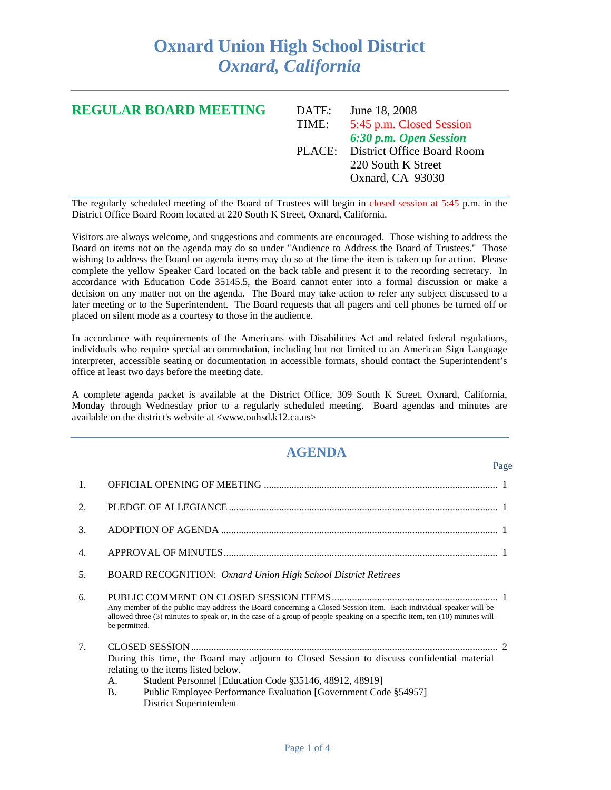## **Oxnard Union High School District**  *Oxnard, California*

| <b>REGULAR BOARD MEETING</b> | DATE: | June 18, 2008                     |
|------------------------------|-------|-----------------------------------|
|                              | TIME: | 5:45 p.m. Closed Session          |
|                              |       | 6:30 p.m. Open Session            |
|                              |       | PLACE: District Office Board Room |
|                              |       | 220 South K Street                |
|                              |       | Oxnard, CA 93030                  |
|                              |       |                                   |

The regularly scheduled meeting of the Board of Trustees will begin in closed session at 5:45 p.m. in the District Office Board Room located at 220 South K Street, Oxnard, California.

Visitors are always welcome, and suggestions and comments are encouraged. Those wishing to address the Board on items not on the agenda may do so under "Audience to Address the Board of Trustees." Those wishing to address the Board on agenda items may do so at the time the item is taken up for action. Please complete the yellow Speaker Card located on the back table and present it to the recording secretary. In accordance with Education Code 35145.5, the Board cannot enter into a formal discussion or make a decision on any matter not on the agenda. The Board may take action to refer any subject discussed to a later meeting or to the Superintendent. The Board requests that all pagers and cell phones be turned off or placed on silent mode as a courtesy to those in the audience.

In accordance with requirements of the Americans with Disabilities Act and related federal regulations, individuals who require special accommodation, including but not limited to an American Sign Language interpreter, accessible seating or documentation in accessible formats, should contact the Superintendent's office at least two days before the meeting date.

A complete agenda packet is available at the District Office, 309 South K Street, Oxnard, California, Monday through Wednesday prior to a regularly scheduled meeting. Board agendas and minutes are available on the district's website at <www.ouhsd.k12.ca.us>

## **AGENDA**

Page

| 1. |                                                                                                                                                                                                                                                                                                               |
|----|---------------------------------------------------------------------------------------------------------------------------------------------------------------------------------------------------------------------------------------------------------------------------------------------------------------|
| 2. |                                                                                                                                                                                                                                                                                                               |
| 3. |                                                                                                                                                                                                                                                                                                               |
| 4. |                                                                                                                                                                                                                                                                                                               |
| 5. | <b>BOARD RECOGNITION:</b> Oxnard Union High School District Retirees                                                                                                                                                                                                                                          |
| 6. | Any member of the public may address the Board concerning a Closed Session item. Each individual speaker will be<br>allowed three (3) minutes to speak or, in the case of a group of people speaking on a specific item, ten (10) minutes will<br>be permitted.                                               |
| 7. | During this time, the Board may adjourn to Closed Session to discuss confidential material<br>relating to the items listed below.<br>Student Personnel [Education Code §35146, 48912, 48919]<br>A.<br>Public Employee Performance Evaluation [Government Code §54957]<br><b>B.</b><br>District Superintendent |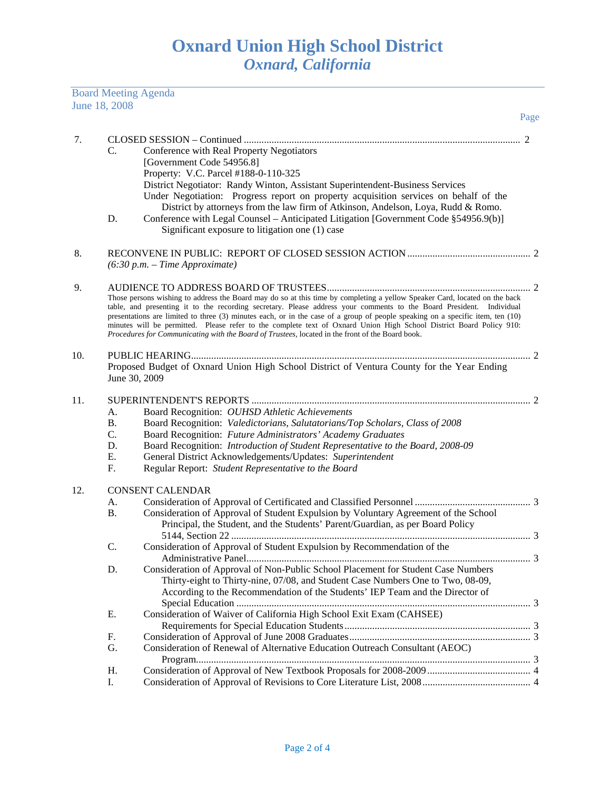Board Meeting Agenda June 18, 2008

|     |                                         | Page                                                                                                                                                                                                                                                                                                                                                                                                                                                                                                                                                                                                            |   |  |  |
|-----|-----------------------------------------|-----------------------------------------------------------------------------------------------------------------------------------------------------------------------------------------------------------------------------------------------------------------------------------------------------------------------------------------------------------------------------------------------------------------------------------------------------------------------------------------------------------------------------------------------------------------------------------------------------------------|---|--|--|
| 7.  | C.<br>D.                                | Conference with Real Property Negotiators<br>[Government Code 54956.8]<br>Property: V.C. Parcel #188-0-110-325<br>District Negotiator: Randy Winton, Assistant Superintendent-Business Services<br>Under Negotiation: Progress report on property acquisition services on behalf of the<br>District by attorneys from the law firm of Atkinson, Andelson, Loya, Rudd & Romo.<br>Conference with Legal Counsel – Anticipated Litigation [Government Code §54956.9(b)]                                                                                                                                            |   |  |  |
|     |                                         | Significant exposure to litigation one (1) case                                                                                                                                                                                                                                                                                                                                                                                                                                                                                                                                                                 |   |  |  |
| 8.  |                                         | $(6:30 p.m. - Time Approximate)$                                                                                                                                                                                                                                                                                                                                                                                                                                                                                                                                                                                |   |  |  |
| 9.  |                                         | Those persons wishing to address the Board may do so at this time by completing a yellow Speaker Card, located on the back<br>table, and presenting it to the recording secretary. Please address your comments to the Board President. Individual<br>presentations are limited to three (3) minutes each, or in the case of a group of people speaking on a specific item, ten (10)<br>minutes will be permitted. Please refer to the complete text of Oxnard Union High School District Board Policy 910:<br>Procedures for Communicating with the Board of Trustees, located in the front of the Board book. |   |  |  |
| 10. |                                         | Proposed Budget of Oxnard Union High School District of Ventura County for the Year Ending<br>June 30, 2009                                                                                                                                                                                                                                                                                                                                                                                                                                                                                                     |   |  |  |
| 11. | A.<br><b>B.</b><br>C.<br>D.<br>Е.<br>F. | Board Recognition: OUHSD Athletic Achievements<br>Board Recognition: Valedictorians, Salutatorians/Top Scholars, Class of 2008<br>Board Recognition: Future Administrators' Academy Graduates<br>Board Recognition: Introduction of Student Representative to the Board, 2008-09<br>General District Acknowledgements/Updates: Superintendent<br>Regular Report: Student Representative to the Board                                                                                                                                                                                                            |   |  |  |
| 12. | А.<br><b>B.</b><br>$\mathsf{C}$ .<br>D. | <b>CONSENT CALENDAR</b><br>Consideration of Approval of Student Expulsion by Voluntary Agreement of the School<br>Principal, the Student, and the Students' Parent/Guardian, as per Board Policy<br>Consideration of Approval of Student Expulsion by Recommendation of the<br>Consideration of Approval of Non-Public School Placement for Student Case Numbers<br>Thirty-eight to Thirty-nine, 07/08, and Student Case Numbers One to Two, 08-09,                                                                                                                                                             | 3 |  |  |
|     | Е.<br>F.                                | According to the Recommendation of the Students' IEP Team and the Director of<br>Consideration of Waiver of California High School Exit Exam (CAHSEE)                                                                                                                                                                                                                                                                                                                                                                                                                                                           |   |  |  |
|     | G.<br>Η.                                | Consideration of Renewal of Alternative Education Outreach Consultant (AEOC)                                                                                                                                                                                                                                                                                                                                                                                                                                                                                                                                    |   |  |  |
|     | I.                                      |                                                                                                                                                                                                                                                                                                                                                                                                                                                                                                                                                                                                                 |   |  |  |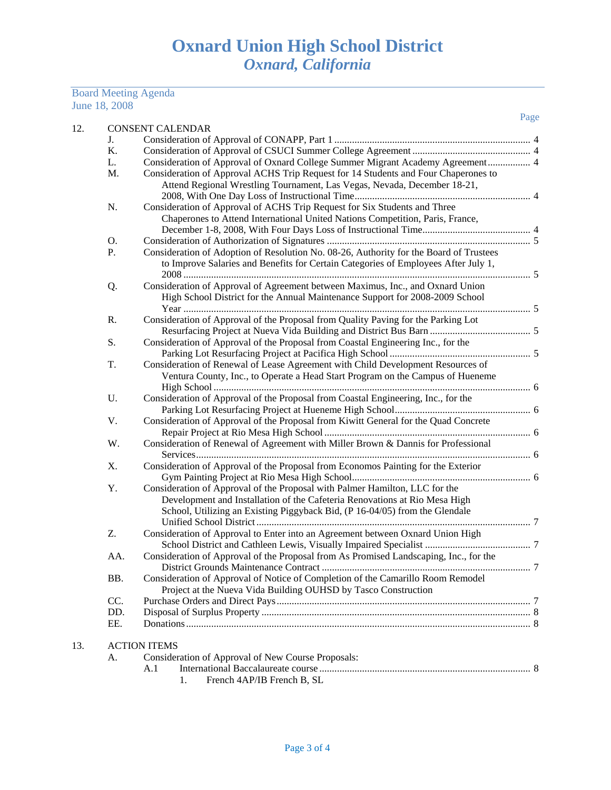## Board Meeting Agenda June 18, 2008

13.

| 12. |    |                                                                                                                                                                                                                                                                                                                                                                                       | Page |
|-----|----|---------------------------------------------------------------------------------------------------------------------------------------------------------------------------------------------------------------------------------------------------------------------------------------------------------------------------------------------------------------------------------------|------|
|     |    | <b>CONSENT CALENDAR</b>                                                                                                                                                                                                                                                                                                                                                               |      |
|     | J. |                                                                                                                                                                                                                                                                                                                                                                                       |      |
|     | K. |                                                                                                                                                                                                                                                                                                                                                                                       |      |
|     | L. | Consideration of Approval of Oxnard College Summer Migrant Academy Agreement 4                                                                                                                                                                                                                                                                                                        |      |
|     | M. | Consideration of Approval ACHS Trip Request for 14 Students and Four Chaperones to                                                                                                                                                                                                                                                                                                    |      |
|     |    | Attend Regional Wrestling Tournament, Las Vegas, Nevada, December 18-21,                                                                                                                                                                                                                                                                                                              |      |
|     |    |                                                                                                                                                                                                                                                                                                                                                                                       |      |
|     | N. | Consideration of Approval of ACHS Trip Request for Six Students and Three                                                                                                                                                                                                                                                                                                             |      |
|     |    | Chaperones to Attend International United Nations Competition, Paris, France,                                                                                                                                                                                                                                                                                                         |      |
|     |    |                                                                                                                                                                                                                                                                                                                                                                                       |      |
|     | О. |                                                                                                                                                                                                                                                                                                                                                                                       |      |
|     | Ρ. | Consideration of Adoption of Resolution No. 08-26, Authority for the Board of Trustees                                                                                                                                                                                                                                                                                                |      |
|     |    | to Improve Salaries and Benefits for Certain Categories of Employees After July 1,                                                                                                                                                                                                                                                                                                    |      |
|     |    |                                                                                                                                                                                                                                                                                                                                                                                       |      |
|     | Q. | Consideration of Approval of Agreement between Maximus, Inc., and Oxnard Union                                                                                                                                                                                                                                                                                                        |      |
|     |    | High School District for the Annual Maintenance Support for 2008-2009 School                                                                                                                                                                                                                                                                                                          |      |
|     |    |                                                                                                                                                                                                                                                                                                                                                                                       |      |
|     | R. | Consideration of Approval of the Proposal from Quality Paving for the Parking Lot                                                                                                                                                                                                                                                                                                     |      |
|     |    |                                                                                                                                                                                                                                                                                                                                                                                       |      |
|     | S. | Consideration of Approval of the Proposal from Coastal Engineering Inc., for the                                                                                                                                                                                                                                                                                                      |      |
|     |    |                                                                                                                                                                                                                                                                                                                                                                                       |      |
|     | T. | Consideration of Renewal of Lease Agreement with Child Development Resources of                                                                                                                                                                                                                                                                                                       |      |
|     |    | Ventura County, Inc., to Operate a Head Start Program on the Campus of Hueneme                                                                                                                                                                                                                                                                                                        |      |
|     |    |                                                                                                                                                                                                                                                                                                                                                                                       |      |
|     | U. | Consideration of Approval of the Proposal from Coastal Engineering, Inc., for the                                                                                                                                                                                                                                                                                                     |      |
|     |    |                                                                                                                                                                                                                                                                                                                                                                                       |      |
|     | V. | Consideration of Approval of the Proposal from Kiwitt General for the Quad Concrete                                                                                                                                                                                                                                                                                                   |      |
|     |    |                                                                                                                                                                                                                                                                                                                                                                                       |      |
|     | W. | Consideration of Renewal of Agreement with Miller Brown & Dannis for Professional                                                                                                                                                                                                                                                                                                     |      |
|     |    |                                                                                                                                                                                                                                                                                                                                                                                       |      |
|     | Χ. | Consideration of Approval of the Proposal from Economos Painting for the Exterior<br>$\mathbf{D}$ and $\mathbf{D}$ and $\mathbf{D}$ and $\mathbf{D}$ and $\mathbf{D}$ and $\mathbf{D}$ and $\mathbf{D}$ and $\mathbf{D}$ and $\mathbf{D}$ and $\mathbf{D}$ and $\mathbf{D}$ and $\mathbf{D}$ and $\mathbf{D}$ and $\mathbf{D}$ and $\mathbf{D}$ and $\mathbf{D}$ and $\mathbf{D}$ and |      |
|     |    |                                                                                                                                                                                                                                                                                                                                                                                       |      |

| Y.  | Consideration of Approval of the Proposal with Palmer Hamilton, LLC for the           |  |
|-----|---------------------------------------------------------------------------------------|--|
|     | Development and Installation of the Cafeteria Renovations at Rio Mesa High            |  |
|     | School, Utilizing an Existing Piggyback Bid, (P 16-04/05) from the Glendale           |  |
|     |                                                                                       |  |
| Z.  | Consideration of Approval to Enter into an Agreement between Oxnard Union High        |  |
|     |                                                                                       |  |
| AA. | Consideration of Approval of the Proposal from As Promised Landscaping, Inc., for the |  |
|     |                                                                                       |  |
| BB. | Consideration of Approval of Notice of Completion of the Camarillo Room Remodel       |  |
|     | Project at the Nueva Vida Building OUHSD by Tasco Construction                        |  |
| CC. |                                                                                       |  |
| DD. |                                                                                       |  |
| EE. |                                                                                       |  |
|     | <b>ACTION ITEMS</b>                                                                   |  |
| A.  | Consideration of Approval of New Course Proposals:                                    |  |
|     | A.1                                                                                   |  |